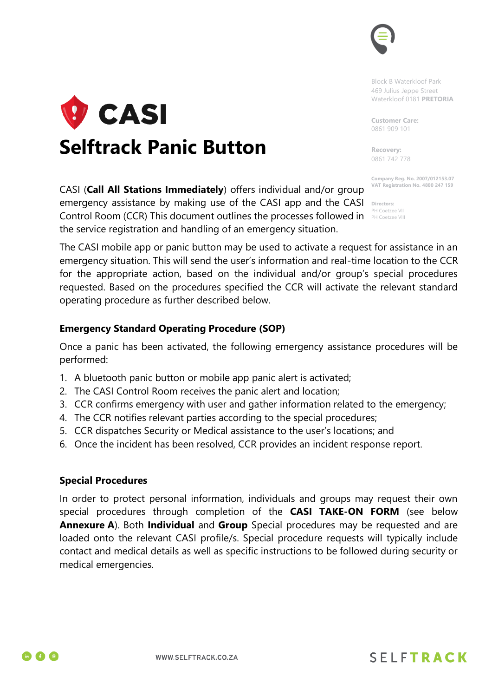

Block B Waterkloof Park 469 Julius Jeppe Street Waterkloof 0181 **PRETORIA**

**Customer Care:** 0861 909 101

**Recovery:** 0861 742 778

**Company Reg. No. 2007/012153.07 VAT Registration No. 4800 247 159**

**Directors:** PH Coetzee VII

Control Room (CCR) This document outlines the processes followed in  $\frac{1}{P}$  Coetzee VIII emergency assistance by making use of the CASI app and the CASI the service registration and handling of an emergency situation. The CASI mobile app or panic button may be used to activate a request for assistance in an

CASI (**Call All Stations Immediately**) offers individual and/or group

emergency situation. This will send the user's information and real-time location to the CCR for the appropriate action, based on the individual and/or group's special procedures requested. Based on the procedures specified the CCR will activate the relevant standard operating procedure as further described below.

## **Emergency Standard Operating Procedure (SOP)**

**Selftrack Panic Button**

**V** CASI

Once a panic has been activated, the following emergency assistance procedures will be performed:

- 1. A bluetooth panic button or mobile app panic alert is activated;
- 2. The CASI Control Room receives the panic alert and location;
- 3. CCR confirms emergency with user and gather information related to the emergency;
- 4. The CCR notifies relevant parties according to the special procedures;
- 5. CCR dispatches Security or Medical assistance to the user's locations; and
- 6. Once the incident has been resolved, CCR provides an incident response report.

## **Special Procedures**

In order to protect personal information, individuals and groups may request their own special procedures through completion of the **CASI TAKE-ON FORM** (see below **Annexure A**). Both **Individual** and **Group** Special procedures may be requested and are loaded onto the relevant CASI profile/s. Special procedure requests will typically include contact and medical details as well as specific instructions to be followed during security or medical emergencies.